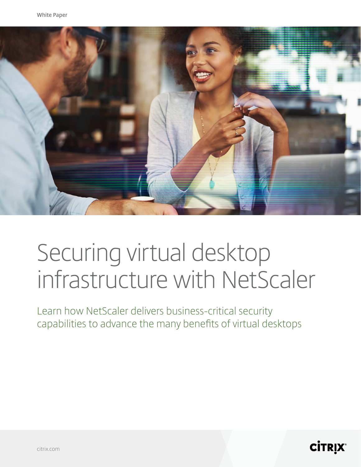

# Securing virtual desktop infrastructure with NetScaler

Learn how NetScaler delivers business-critical security capabilities to advance the many benefits of virtual desktops

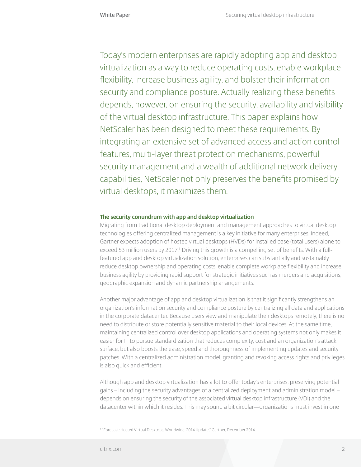Today's modern enterprises are rapidly adopting app and desktop virtualization as a way to reduce operating costs, enable workplace flexibility, increase business agility, and bolster their information security and compliance posture. Actually realizing these benefits depends, however, on ensuring the security, availability and visibility of the virtual desktop infrastructure. This paper explains how NetScaler has been designed to meet these requirements. By integrating an extensive set of advanced access and action control features, multi-layer threat protection mechanisms, powerful security management and a wealth of additional network delivery capabilities, NetScaler not only preserves the benefits promised by virtual desktops, it maximizes them.

#### **The security conundrum with app and desktop virtualization**

Migrating from traditional desktop deployment and management approaches to virtual desktop technologies offering centralized management is a key initiative for many enterprises. Indeed, Gartner expects adoption of hosted virtual desktops (HVDs) for installed base (total users) alone to exceed 53 million users by 2017.<sup>1</sup> Driving this growth is a compelling set of benefits. With a fullfeatured app and desktop virtualization solution, enterprises can substantially and sustainably reduce desktop ownership and operating costs, enable complete workplace flexibility and increase business agility by providing rapid support for strategic initiatives such as mergers and acquisitions, geographic expansion and dynamic partnership arrangements.

Another major advantage of app and desktop virtualization is that it significantly strengthens an organization's information security and compliance posture by centralizing all data and applications in the corporate datacenter. Because users view and manipulate their desktops remotely, there is no need to distribute or store potentially sensitive material to their local devices. At the same time, maintaining centralized control over desktop applications and operating systems not only makes it easier for IT to pursue standardization that reduces complexity, cost and an organization's attack surface, but also boosts the ease, speed and thoroughness of implementing updates and security patches. With a centralized administration model, granting and revoking access rights and privileges is also quick and efficient.

Although app and desktop virtualization has a lot to offer today's enterprises, preserving potential gains – including the security advantages of a centralized deployment and administration model – depends on ensuring the security of the associated virtual desktop infrastructure (VDI) and the datacenter within which it resides. This may sound a bit circular—organizations must invest in one

1 "Forecast: Hosted Virtual Desktops, Worldwide, 2014 Update," Gartner, December 2014.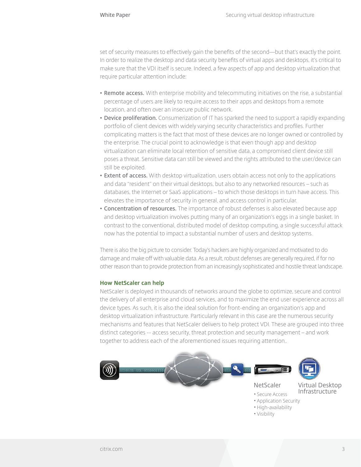set of security measures to effectively gain the benefits of the second—but that's exactly the point. In order to realize the desktop and data security benefits of virtual apps and desktops, it's critical to make sure that the VDI itself is secure. Indeed, a few aspects of app and desktop virtualization that require particular attention include:

- **• Remote access.** With enterprise mobility and telecommuting initiatives on the rise, a substantial percentage of users are likely to require access to their apps and desktops from a remote location, and often over an insecure public network.
- **• Device proliferation.** Consumerization of IT has sparked the need to support a rapidly expanding portfolio of client devices with widely varying security characteristics and profiles. Further complicating matters is the fact that most of these devices are no longer owned or controlled by the enterprise. The crucial point to acknowledge is that even though app and desktop virtualization can eliminate local retention of sensitive data, a compromised client device still poses a threat. Sensitive data can still be viewed and the rights attributed to the user/device can still be exploited.
- **• Extent of access.** With desktop virtualization, users obtain access not only to the applications and data "resident" on their virtual desktops, but also to any networked resources – such as databases, the Internet or SaaS applications – to which those desktops in turn have access. This elevates the importance of security in general, and access control in particular.
- **• Concentration of resources.** The importance of robust defenses is also elevated because app and desktop virtualization involves putting many of an organization's eggs in a single basket. In contrast to the conventional, distributed model of desktop computing, a single successful attack now has the potential to impact a substantial number of users and desktop systems.

There is also the big picture to consider. Today's hackers are highly organized and motivated to do damage and make off with valuable data. As a result, robust defenses are generally required, if for no other reason than to provide protection from an increasingly sophisticated and hostile threat landscape.

#### **How NetScaler can help**

NetScaler is deployed in thousands of networks around the globe to optimize, secure and control the delivery of all enterprise and cloud services, and to maximize the end user experience across all device types. As such, it is also the ideal solution for front-ending an organization's app and desktop virtualization infrastructure. Particularly relevant in this case are the numerous security mechanisms and features that NetScaler delivers to help protect VDI. These are grouped into three distinct categories -- access security, threat protection and security management – and work together to address each of the aforementioned issues requiring attention..

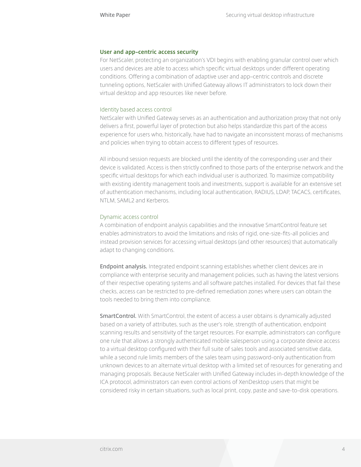#### **User and app–centric access security**

For NetScaler, protecting an organization's VDI begins with enabling granular control over which users and devices are able to access which specific virtual desktops under different operating conditions. Offering a combination of adaptive user and app–centric controls and discrete tunneling options, NetScaler with Unified Gateway allows IT administrators to lock down their virtual desktop and app resources like never before.

#### Identity based access control

NetScaler with Unified Gateway serves as an authentication and authorization proxy that not only delivers a first, powerful layer of protection but also helps standardize this part of the access experience for users who, historically, have had to navigate an inconsistent morass of mechanisms and policies when trying to obtain access to different types of resources.

All inbound session requests are blocked until the identity of the corresponding user and their device is validated. Access is then strictly confined to those parts of the enterprise network and the specific virtual desktops for which each individual user is authorized. To maximize compatibility with existing identity management tools and investments, support is available for an extensive set of authentication mechanisms, including local authentication, RADIUS, LDAP, TACACS, certificates, NTLM, SAML2 and Kerberos.

#### Dynamic access control

A combination of endpoint analysis capabilities and the innovative SmartControl feature set enables administrators to avoid the limitations and risks of rigid, one-size-fits-all policies and instead provision services for accessing virtual desktops (and other resources) that automatically adapt to changing conditions.

**Endpoint analysis.** Integrated endpoint scanning establishes whether client devices are in compliance with enterprise security and management policies, such as having the latest versions of their respective operating systems and all software patches installed. For devices that fail these checks, access can be restricted to pre-defined remediation zones where users can obtain the tools needed to bring them into compliance.

**SmartControl.** With SmartControl, the extent of access a user obtains is dynamically adjusted based on a variety of attributes, such as the user's role, strength of authentication, endpoint scanning results and sensitivity of the target resources. For example, administrators can configure one rule that allows a strongly authenticated mobile salesperson using a corporate device access to a virtual desktop configured with their full suite of sales tools and associated sensitive data, while a second rule limits members of the sales team using password-only authentication from unknown devices to an alternate virtual desktop with a limited set of resources for generating and managing proposals. Because NetScaler with Unified Gateway includes in-depth knowledge of the ICA protocol, administrators can even control actions of XenDesktop users that might be considered risky in certain situations, such as local print, copy, paste and save-to-disk operations.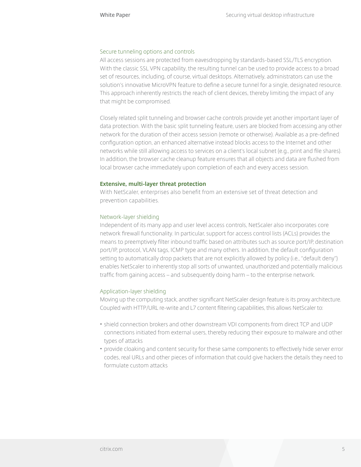#### Secure tunneling options and controls

All access sessions are protected from eavesdropping by standards-based SSL/TLS encryption. With the classic SSL VPN capability, the resulting tunnel can be used to provide access to a broad set of resources, including, of course, virtual desktops. Alternatively, administrators can use the solution's innovative MicroVPN feature to define a secure tunnel for a single, designated resource. This approach inherently restricts the reach of client devices, thereby limiting the impact of any that might be compromised.

Closely related split tunneling and browser cache controls provide yet another important layer of data protection. With the basic split tunneling feature, users are blocked from accessing any other network for the duration of their access session (remote or otherwise). Available as a pre-defined configuration option, an enhanced alternative instead blocks access to the Internet and other networks while still allowing access to services on a client's local subnet (e.g., print and file shares). In addition, the browser cache cleanup feature ensures that all objects and data are flushed from local browser cache immediately upon completion of each and every access session.

#### **Extensive, multi-layer threat protection**

With NetScaler, enterprises also benefit from an extensive set of threat detection and prevention capabilities.

### Network-layer shielding

Independent of its many app and user level access controls, NetScaler also incorporates core network firewall functionality. In particular, support for access control lists (ACLs) provides the means to preemptively filter inbound traffic based on attributes such as source port/IP, destination port/IP, protocol, VLAN tags, ICMP type and many others. In addition, the default configuration setting to automatically drop packets that are not explicitly allowed by policy (i.e., "default deny") enables NetScaler to inherently stop all sorts of unwanted, unauthorized and potentially malicious traffic from gaining access – and subsequently doing harm – to the enterprise network.

### Application-layer shielding

Moving up the computing stack, another significant NetScaler design feature is its proxy architecture. Coupled with HTTP/URL re-write and L7 content filtering capabilities, this allows NetScaler to:

- shield connection brokers and other downstream VDI components from direct TCP and UDP connections initiated from external users, thereby reducing their exposure to malware and other types of attacks
- provide cloaking and content security for these same components to effectively hide server error codes, real URLs and other pieces of information that could give hackers the details they need to formulate custom attacks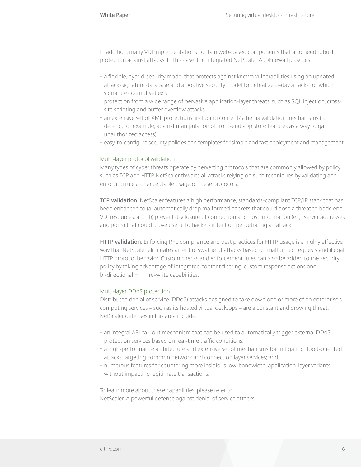In addition, many VDI implementations contain web-based components that also need robust protection against attacks. In this case, the integrated NetScaler AppFirewall provides:

- a flexible, hybrid-security model that protects against known vulnerabilities using an updated attack-signature database and a positive security model to defeat zero-day attacks for which signatures do not yet exist
- protection from a wide range of pervasive application-layer threats, such as SQL injection, crosssite scripting and buffer overflow attacks
- an extensive set of XML protections, including content/schema validation mechanisms (to defend, for example, against manipulation of front-end app store features as a way to gain unauthorized access)
- easy-to-configure security policies and templates for simple and fast deployment and management

#### Multi-layer protocol validation

Many types of cyber threats operate by perverting protocols that are commonly allowed by policy, such as TCP and HTTP. NetScaler thwarts all attacks relying on such techniques by validating and enforcing rules for acceptable usage of these protocols.

**TCP validation.** NetScaler features a high performance, standards-compliant TCP/IP stack that has been enhanced to (a) automatically drop malformed packets that could pose a threat to back-end VDI resources, and (b) prevent disclosure of connection and host information (e.g., server addresses and ports) that could prove useful to hackers intent on perpetrating an attack.

**HTTP validation.** Enforcing RFC compliance and best practices for HTTP usage is a highly effective way that NetScaler eliminates an entire swathe of attacks based on malformed requests and illegal HTTP protocol behavior. Custom checks and enforcement rules can also be added to the security policy by taking advantage of integrated content filtering, custom response actions and bi-directional HTTP re-write capabilities.

### Multi-layer DDoS protection

Distributed denial of service (DDoS) attacks designed to take down one or more of an enterprise's computing services – such as its hosted virtual desktops – are a constant and growing threat. NetScaler defenses in this area include:

- an integral API call-out mechanism that can be used to automatically trigger external DDoS protection services based on real-time traffic conditions;
- a high-performance architecture and extensive set of mechanisms for mitigating flood-oriented attacks targeting common network and connection layer services; and,
- numerous features for countering more insidious low-bandwidth, application-layer variants, without impacting legitimate transactions.

To learn more about these capabilities, please refer to: [NetScaler: A powerful defense against denial of service attacks.](https://www.citrix.com/content/dam/citrix/en_us/documents/products-solutions/citrix-netscaler-a-powerful-defense-against-denial-of-service-attacks.pdf)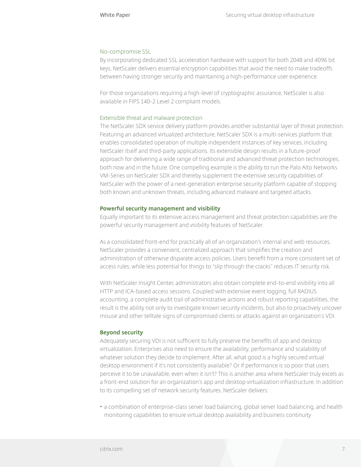#### No-compromise SSL

By incorporating dedicated SSL acceleration hardware with support for both 2048 and 4096 bit keys, NetScaler delivers essential encryption capabilities that avoid the need to make tradeoffs between having stronger security and maintaining a high-performance user experience.

For those organizations requiring a high-level of cryptographic assurance, NetScaler is also available in FIPS 140-2 Level 2 compliant models.

#### Extensible threat and malware protection

The NetScaler SDX service delivery platform provides another substantial layer of threat protection. Featuring an advanced virtualized architecture, NetScaler SDX is a multi-services platform that enables consolidated operation of multiple independent instances of key services, including NetScaler itself and third-party applications. Its extensible design results in a future-proof approach for delivering a wide range of traditional and advanced threat protection technologies, both now and in the future. One compelling example is the ability to run the Palo Alto Networks VM-Series on NetScaler SDX and thereby supplement the extensive security capabilities of NetScaler with the power of a next-generation enterprise security platform capable of stopping both known and unknown threats, including advanced malware and targeted attacks.

#### **Powerful security management and visibility**

Equally important to its extensive access management and threat protection capabilities are the powerful security management and visibility features of NetScaler.

As a consolidated front-end for practically all of an organization's internal and web resources, NetScaler provides a convenient, centralized approach that simplifies the creation and administration of otherwise disparate access policies. Users benefit from a more consistent set of access rules, while less potential for things to "slip through the cracks" reduces IT security risk.

With NetScaler Insight Center, administrators also obtain complete end-to-end visibility into all HTTP and ICA-based access sessions. Coupled with extensive event logging, full RADIUS accounting, a complete audit trail of administrative actions and robust reporting capabilities, the result is the ability not only to investigate known security incidents, but also to proactively uncover misuse and other telltale signs of compromised clients or attacks against an organization's VDI.

#### **Beyond security**

Adequately securing VDI is not sufficient to fully preserve the benefits of app and desktop virtualization. Enterprises also need to ensure the availability, performance and scalability of whatever solution they decide to implement. After all, what good is a highly secured virtual desktop environment if it's not consistently available? Or if performance is so poor that users perceive it to be unavailable, even when it isn't? This is another area where NetScaler truly excels as a front-end solution for an organization's app and desktop virtualization infrastructure. In addition to its compelling set of network security features, NetScaler delivers:

• a combination of enterprise-class server load balancing, global server load balancing, and health monitoring capabilities to ensure virtual desktop availability and business continuity